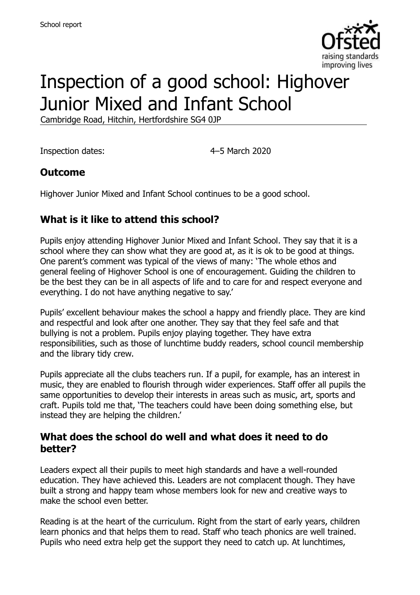

# Inspection of a good school: Highover Junior Mixed and Infant School

Cambridge Road, Hitchin, Hertfordshire SG4 0JP

Inspection dates: 4–5 March 2020

#### **Outcome**

Highover Junior Mixed and Infant School continues to be a good school.

### **What is it like to attend this school?**

Pupils enjoy attending Highover Junior Mixed and Infant School. They say that it is a school where they can show what they are good at, as it is ok to be good at things. One parent's comment was typical of the views of many: 'The whole ethos and general feeling of Highover School is one of encouragement. Guiding the children to be the best they can be in all aspects of life and to care for and respect everyone and everything. I do not have anything negative to say.'

Pupils' excellent behaviour makes the school a happy and friendly place. They are kind and respectful and look after one another. They say that they feel safe and that bullying is not a problem. Pupils enjoy playing together. They have extra responsibilities, such as those of lunchtime buddy readers, school council membership and the library tidy crew.

Pupils appreciate all the clubs teachers run. If a pupil, for example, has an interest in music, they are enabled to flourish through wider experiences. Staff offer all pupils the same opportunities to develop their interests in areas such as music, art, sports and craft. Pupils told me that, 'The teachers could have been doing something else, but instead they are helping the children.'

#### **What does the school do well and what does it need to do better?**

Leaders expect all their pupils to meet high standards and have a well-rounded education. They have achieved this. Leaders are not complacent though. They have built a strong and happy team whose members look for new and creative ways to make the school even better.

Reading is at the heart of the curriculum. Right from the start of early years, children learn phonics and that helps them to read. Staff who teach phonics are well trained. Pupils who need extra help get the support they need to catch up. At lunchtimes,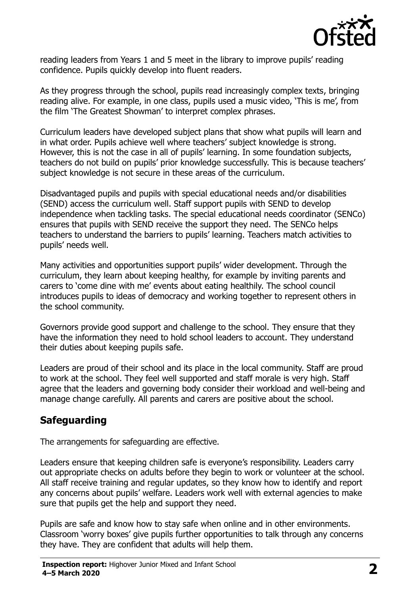

reading leaders from Years 1 and 5 meet in the library to improve pupils' reading confidence. Pupils quickly develop into fluent readers.

As they progress through the school, pupils read increasingly complex texts, bringing reading alive. For example, in one class, pupils used a music video, 'This is me', from the film 'The Greatest Showman' to interpret complex phrases.

Curriculum leaders have developed subject plans that show what pupils will learn and in what order. Pupils achieve well where teachers' subject knowledge is strong. However, this is not the case in all of pupils' learning. In some foundation subjects, teachers do not build on pupils' prior knowledge successfully. This is because teachers' subject knowledge is not secure in these areas of the curriculum.

Disadvantaged pupils and pupils with special educational needs and/or disabilities (SEND) access the curriculum well. Staff support pupils with SEND to develop independence when tackling tasks. The special educational needs coordinator (SENCo) ensures that pupils with SEND receive the support they need. The SENCo helps teachers to understand the barriers to pupils' learning. Teachers match activities to pupils' needs well.

Many activities and opportunities support pupils' wider development. Through the curriculum, they learn about keeping healthy, for example by inviting parents and carers to 'come dine with me' events about eating healthily. The school council introduces pupils to ideas of democracy and working together to represent others in the school community.

Governors provide good support and challenge to the school. They ensure that they have the information they need to hold school leaders to account. They understand their duties about keeping pupils safe.

Leaders are proud of their school and its place in the local community. Staff are proud to work at the school. They feel well supported and staff morale is very high. Staff agree that the leaders and governing body consider their workload and well-being and manage change carefully. All parents and carers are positive about the school.

# **Safeguarding**

The arrangements for safeguarding are effective.

Leaders ensure that keeping children safe is everyone's responsibility. Leaders carry out appropriate checks on adults before they begin to work or volunteer at the school. All staff receive training and regular updates, so they know how to identify and report any concerns about pupils' welfare. Leaders work well with external agencies to make sure that pupils get the help and support they need.

Pupils are safe and know how to stay safe when online and in other environments. Classroom 'worry boxes' give pupils further opportunities to talk through any concerns they have. They are confident that adults will help them.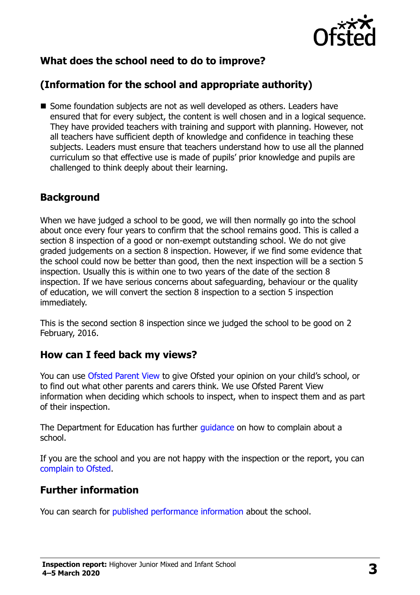

# **What does the school need to do to improve?**

# **(Information for the school and appropriate authority)**

Some foundation subjects are not as well developed as others. Leaders have ensured that for every subject, the content is well chosen and in a logical sequence. They have provided teachers with training and support with planning. However, not all teachers have sufficient depth of knowledge and confidence in teaching these subjects. Leaders must ensure that teachers understand how to use all the planned curriculum so that effective use is made of pupils' prior knowledge and pupils are challenged to think deeply about their learning.

#### **Background**

When we have judged a school to be good, we will then normally go into the school about once every four years to confirm that the school remains good. This is called a section 8 inspection of a good or non-exempt outstanding school. We do not give graded judgements on a section 8 inspection. However, if we find some evidence that the school could now be better than good, then the next inspection will be a section 5 inspection. Usually this is within one to two years of the date of the section 8 inspection. If we have serious concerns about safeguarding, behaviour or the quality of education, we will convert the section 8 inspection to a section 5 inspection immediately.

This is the second section 8 inspection since we judged the school to be good on 2 February, 2016.

#### **How can I feed back my views?**

You can use [Ofsted Parent View](https://parentview.ofsted.gov.uk/) to give Ofsted your opinion on your child's school, or to find out what other parents and carers think. We use Ofsted Parent View information when deciding which schools to inspect, when to inspect them and as part of their inspection.

The Department for Education has further quidance on how to complain about a school.

If you are the school and you are not happy with the inspection or the report, you can [complain to Ofsted.](https://www.gov.uk/complain-ofsted-report)

#### **Further information**

You can search for [published performance information](http://www.compare-school-performance.service.gov.uk/) about the school.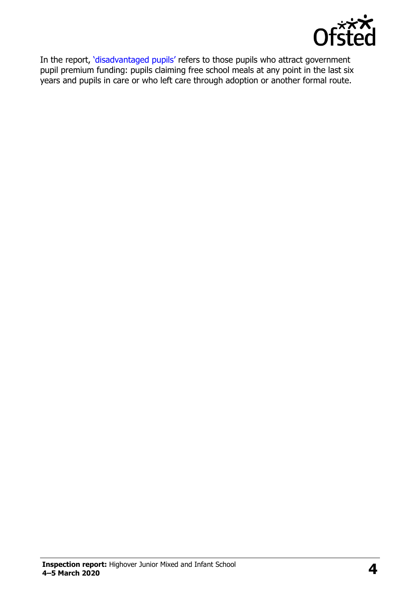

In the report, '[disadvantaged pupils](http://www.gov.uk/guidance/pupil-premium-information-for-schools-and-alternative-provision-settings)' refers to those pupils who attract government pupil premium funding: pupils claiming free school meals at any point in the last six years and pupils in care or who left care through adoption or another formal route.

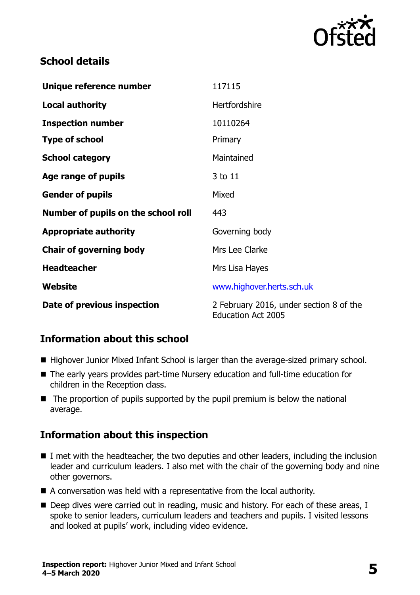

### **School details**

| Unique reference number             | 117115                                                               |
|-------------------------------------|----------------------------------------------------------------------|
| <b>Local authority</b>              | <b>Hertfordshire</b>                                                 |
| <b>Inspection number</b>            | 10110264                                                             |
| <b>Type of school</b>               | Primary                                                              |
| <b>School category</b>              | Maintained                                                           |
| Age range of pupils                 | 3 to 11                                                              |
| <b>Gender of pupils</b>             | Mixed                                                                |
| Number of pupils on the school roll | 443                                                                  |
| <b>Appropriate authority</b>        | Governing body                                                       |
| <b>Chair of governing body</b>      | Mrs Lee Clarke                                                       |
| <b>Headteacher</b>                  | Mrs Lisa Hayes                                                       |
| Website                             | www.highover.herts.sch.uk                                            |
| Date of previous inspection         | 2 February 2016, under section 8 of the<br><b>Education Act 2005</b> |

# **Information about this school**

- Highover Junior Mixed Infant School is larger than the average-sized primary school.
- The early years provides part-time Nursery education and full-time education for children in the Reception class.
- $\blacksquare$  The proportion of pupils supported by the pupil premium is below the national average.

#### **Information about this inspection**

- I met with the headteacher, the two deputies and other leaders, including the inclusion leader and curriculum leaders. I also met with the chair of the governing body and nine other governors.
- A conversation was held with a representative from the local authority.
- Deep dives were carried out in reading, music and history. For each of these areas, I spoke to senior leaders, curriculum leaders and teachers and pupils. I visited lessons and looked at pupils' work, including video evidence.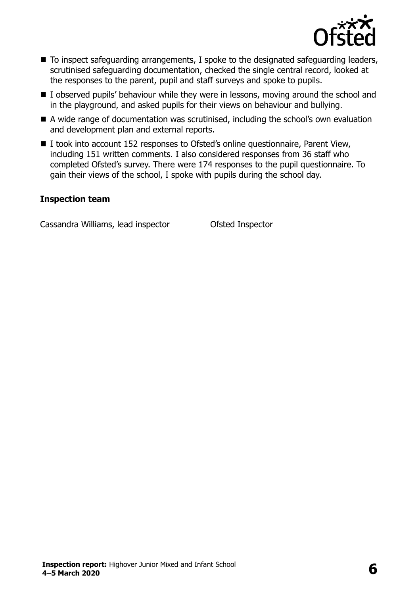

- To inspect safeguarding arrangements, I spoke to the designated safeguarding leaders, scrutinised safeguarding documentation, checked the single central record, looked at the responses to the parent, pupil and staff surveys and spoke to pupils.
- I observed pupils' behaviour while they were in lessons, moving around the school and in the playground, and asked pupils for their views on behaviour and bullying.
- A wide range of documentation was scrutinised, including the school's own evaluation and development plan and external reports.
- I took into account 152 responses to Ofsted's online questionnaire, Parent View, including 151 written comments. I also considered responses from 36 staff who completed Ofsted's survey. There were 174 responses to the pupil questionnaire. To gain their views of the school, I spoke with pupils during the school day.

#### **Inspection team**

Cassandra Williams, lead inspector Ofsted Inspector